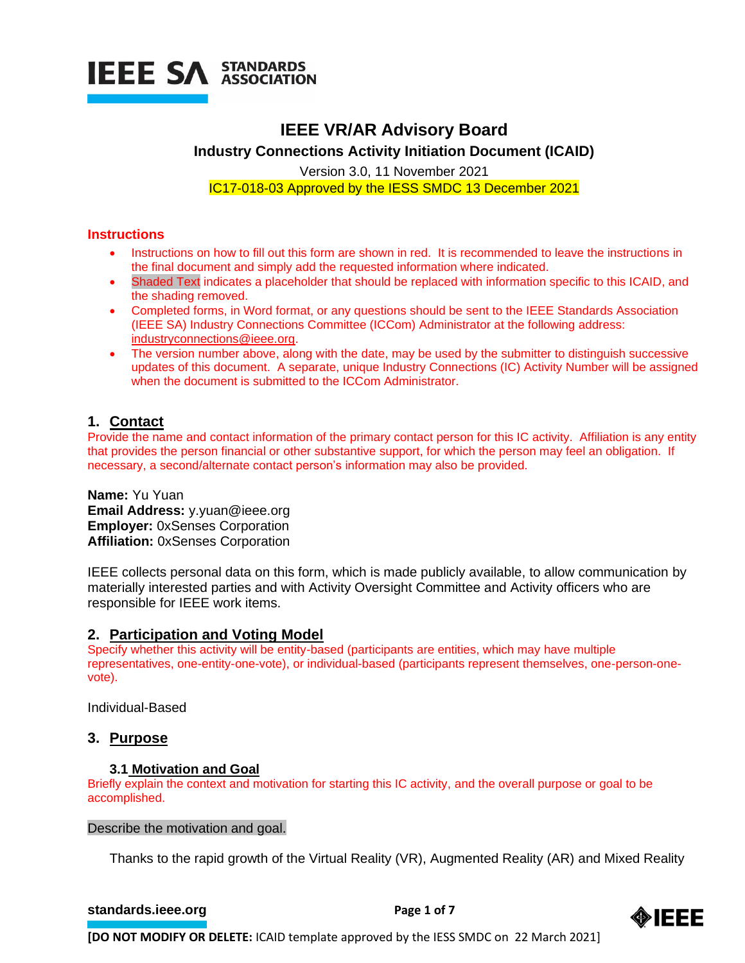

# **IEEE VR/AR Advisory Board**

**Industry Connections Activity Initiation Document (ICAID)**

Version 3.0, 11 November 2021 IC17-018-03 Approved by the IESS SMDC 13 December 2021

# **Instructions**

- Instructions on how to fill out this form are shown in red. It is recommended to leave the instructions in the final document and simply add the requested information where indicated.
- Shaded Text indicates a placeholder that should be replaced with information specific to this ICAID, and the shading removed.
- Completed forms, in Word format, or any questions should be sent to the IEEE Standards Association (IEEE SA) Industry Connections Committee (ICCom) Administrator at the following address: [industryconnections@ieee.org.](mailto:industryconnections@ieee.org)
- The version number above, along with the date, may be used by the submitter to distinguish successive updates of this document. A separate, unique Industry Connections (IC) Activity Number will be assigned when the document is submitted to the ICCom Administrator.

# **1. Contact**

Provide the name and contact information of the primary contact person for this IC activity. Affiliation is any entity that provides the person financial or other substantive support, for which the person may feel an obligation. If necessary, a second/alternate contact person's information may also be provided.

**Name:** Yu Yuan **Email Address:** y.yuan@ieee.org **Employer:** 0xSenses Corporation **Affiliation:** 0xSenses Corporation

IEEE collects personal data on this form, which is made publicly available, to allow communication by materially interested parties and with Activity Oversight Committee and Activity officers who are responsible for IEEE work items.

# **2. Participation and Voting Model**

Specify whether this activity will be entity-based (participants are entities, which may have multiple representatives, one-entity-one-vote), or individual-based (participants represent themselves, one-person-onevote).

Individual-Based

# **3. Purpose**

# **3.1 Motivation and Goal**

Briefly explain the context and motivation for starting this IC activity, and the overall purpose or goal to be accomplished.

# Describe the motivation and goal.

Thanks to the rapid growth of the Virtual Reality (VR), Augmented Reality (AR) and Mixed Reality

# **[standards.ieee.org](http://standards.ieee.org/) EXECUTE: Page 1 of 7**

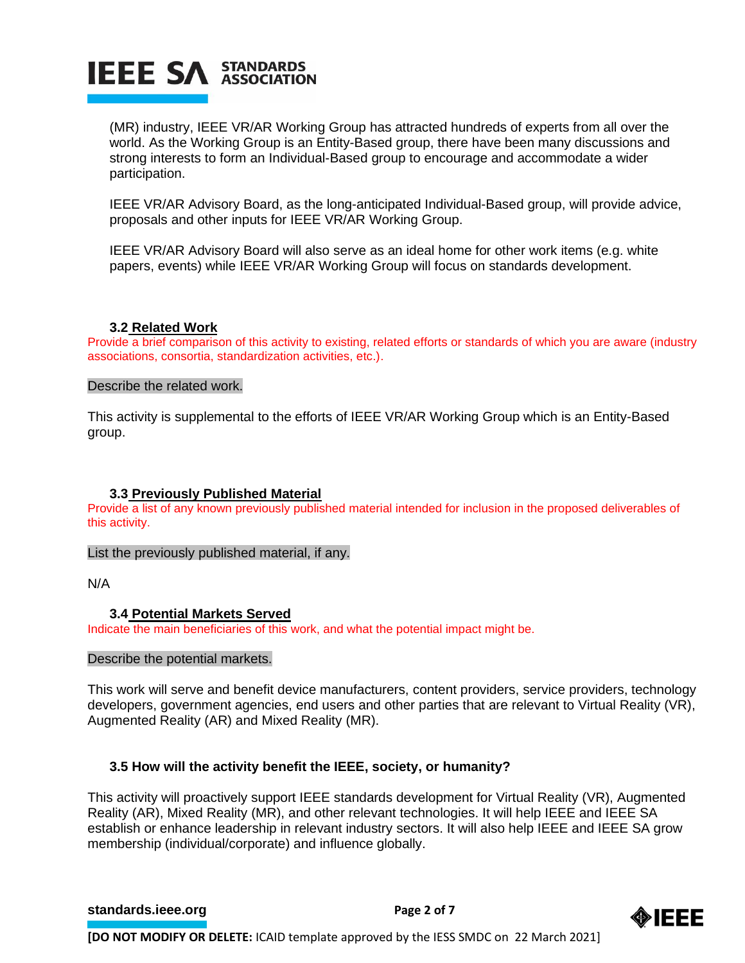

(MR) industry, IEEE VR/AR Working Group has attracted hundreds of experts from all over the world. As the Working Group is an Entity-Based group, there have been many discussions and strong interests to form an Individual-Based group to encourage and accommodate a wider participation.

IEEE VR/AR Advisory Board, as the long-anticipated Individual-Based group, will provide advice, proposals and other inputs for IEEE VR/AR Working Group.

IEEE VR/AR Advisory Board will also serve as an ideal home for other work items (e.g. white papers, events) while IEEE VR/AR Working Group will focus on standards development.

### **3.2 Related Work**

Provide a brief comparison of this activity to existing, related efforts or standards of which you are aware (industry associations, consortia, standardization activities, etc.).

### Describe the related work.

This activity is supplemental to the efforts of IEEE VR/AR Working Group which is an Entity-Based group.

### **3.3 Previously Published Material**

Provide a list of any known previously published material intended for inclusion in the proposed deliverables of this activity.

### List the previously published material, if any.

N/A

### **3.4 Potential Markets Served**

Indicate the main beneficiaries of this work, and what the potential impact might be.

### Describe the potential markets.

This work will serve and benefit device manufacturers, content providers, service providers, technology developers, government agencies, end users and other parties that are relevant to Virtual Reality (VR), Augmented Reality (AR) and Mixed Reality (MR).

# **3.5 How will the activity benefit the IEEE, society, or humanity?**

This activity will proactively support IEEE standards development for Virtual Reality (VR), Augmented Reality (AR), Mixed Reality (MR), and other relevant technologies. It will help IEEE and IEEE SA establish or enhance leadership in relevant industry sectors. It will also help IEEE and IEEE SA grow membership (individual/corporate) and influence globally.

### **[standards.ieee.org](http://standards.ieee.org/)**<br> **Page 2 of 7**

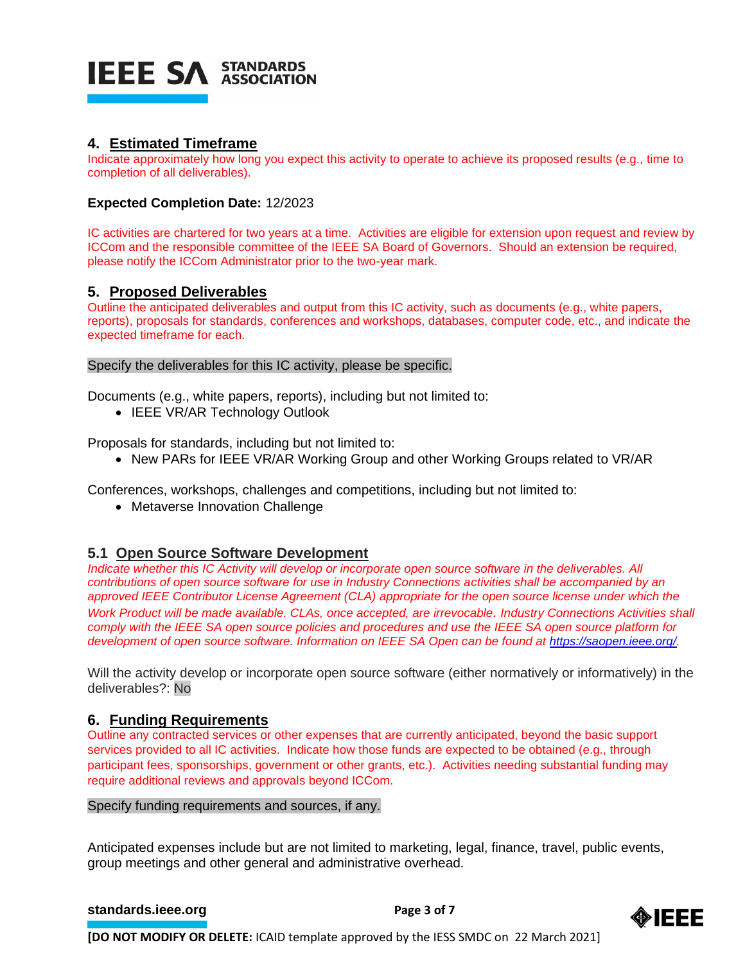

# **4. Estimated Timeframe**

Indicate approximately how long you expect this activity to operate to achieve its proposed results (e.g., time to completion of all deliverables).

# **Expected Completion Date:** 12/2023

IC activities are chartered for two years at a time. Activities are eligible for extension upon request and review by ICCom and the responsible committee of the IEEE SA Board of Governors. Should an extension be required, please notify the ICCom Administrator prior to the two-year mark.

# **5. Proposed Deliverables**

Outline the anticipated deliverables and output from this IC activity, such as documents (e.g., white papers, reports), proposals for standards, conferences and workshops, databases, computer code, etc., and indicate the expected timeframe for each.

# Specify the deliverables for this IC activity, please be specific.

Documents (e.g., white papers, reports), including but not limited to:

• IEEE VR/AR Technology Outlook

Proposals for standards, including but not limited to:

• New PARs for IEEE VR/AR Working Group and other Working Groups related to VR/AR

Conferences, workshops, challenges and competitions, including but not limited to:

• Metaverse Innovation Challenge

# **5.1 Open Source Software Development**

*Indicate whether this IC Activity will develop or incorporate open source software in the deliverables. All contributions of open source software for use in Industry Connections activities shall be accompanied by an approved IEEE Contributor License Agreement (CLA) appropriate for the open source license under which the Work Product will be made available. CLAs, once accepted, are irrevocable. Industry Connections Activities shall comply with the IEEE SA open source policies and procedures and use the IEEE SA open source platform for development of open source software. Information on IEEE SA Open can be found at [https://saopen.ieee.org/.](https://saopen.ieee.org/)* 

Will the activity develop or incorporate open source software (either normatively or informatively) in the deliverables?: No

# **6. Funding Requirements**

Outline any contracted services or other expenses that are currently anticipated, beyond the basic support services provided to all IC activities. Indicate how those funds are expected to be obtained (e.g., through participant fees, sponsorships, government or other grants, etc.). Activities needing substantial funding may require additional reviews and approvals beyond ICCom.

### Specify funding requirements and sources, if any.

Anticipated expenses include but are not limited to marketing, legal, finance, travel, public events, group meetings and other general and administrative overhead.

### **[standards.ieee.org](http://standards.ieee.org/)**<br> **Page 3 of 7**

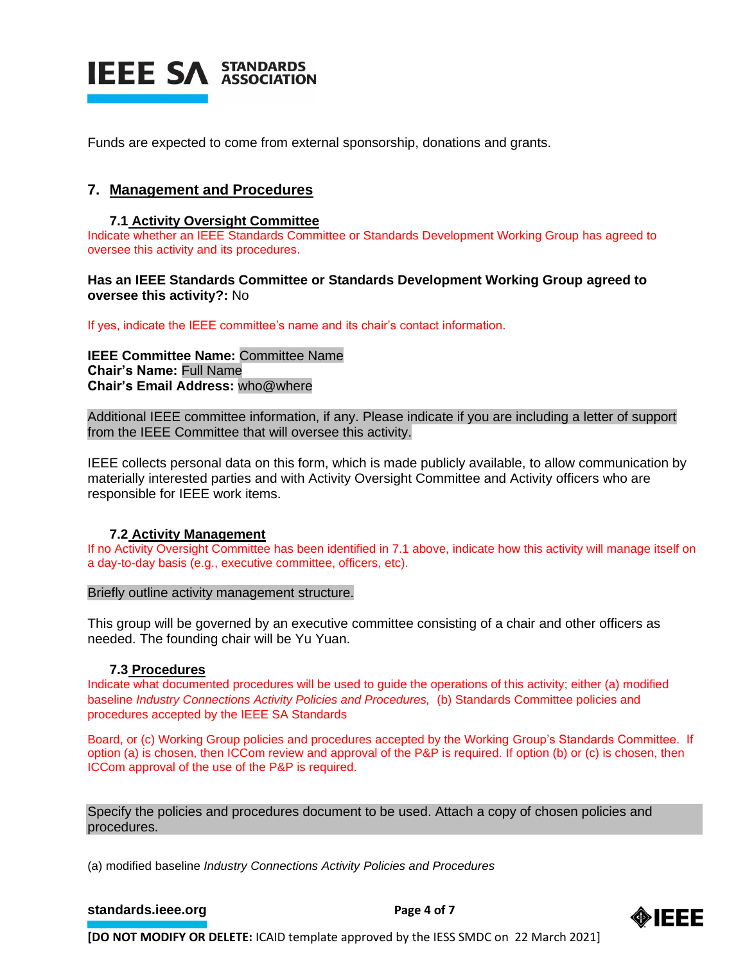

Funds are expected to come from external sponsorship, donations and grants.

# **7. Management and Procedures**

# **7.1 Activity Oversight Committee**

Indicate whether an IEEE Standards Committee or Standards Development Working Group has agreed to oversee this activity and its procedures.

**Has an IEEE Standards Committee or Standards Development Working Group agreed to oversee this activity?:** No

If yes, indicate the IEEE committee's name and its chair's contact information.

**IEEE Committee Name:** Committee Name **Chair's Name:** Full Name **Chair's Email Address:** who@where

Additional IEEE committee information, if any. Please indicate if you are including a letter of support from the IEEE Committee that will oversee this activity.

IEEE collects personal data on this form, which is made publicly available, to allow communication by materially interested parties and with Activity Oversight Committee and Activity officers who are responsible for IEEE work items.

# **7.2 Activity Management**

If no Activity Oversight Committee has been identified in 7.1 above, indicate how this activity will manage itself on a day-to-day basis (e.g., executive committee, officers, etc).

### Briefly outline activity management structure.

This group will be governed by an executive committee consisting of a chair and other officers as needed. The founding chair will be Yu Yuan.

# **7.3 Procedures**

Indicate what documented procedures will be used to guide the operations of this activity; either (a) modified baseline *Industry Connections Activity Policies and Procedures,* (b) Standards Committee policies and procedures accepted by the IEEE SA Standards

Board, or (c) Working Group policies and procedures accepted by the Working Group's Standards Committee. If option (a) is chosen, then ICCom review and approval of the P&P is required. If option (b) or (c) is chosen, then ICCom approval of the use of the P&P is required.

Specify the policies and procedures document to be used. Attach a copy of chosen policies and procedures.

(a) modified baseline *Industry Connections Activity Policies and Procedures*

### **[standards.ieee.org](http://standards.ieee.org/)** Page 4 of 7

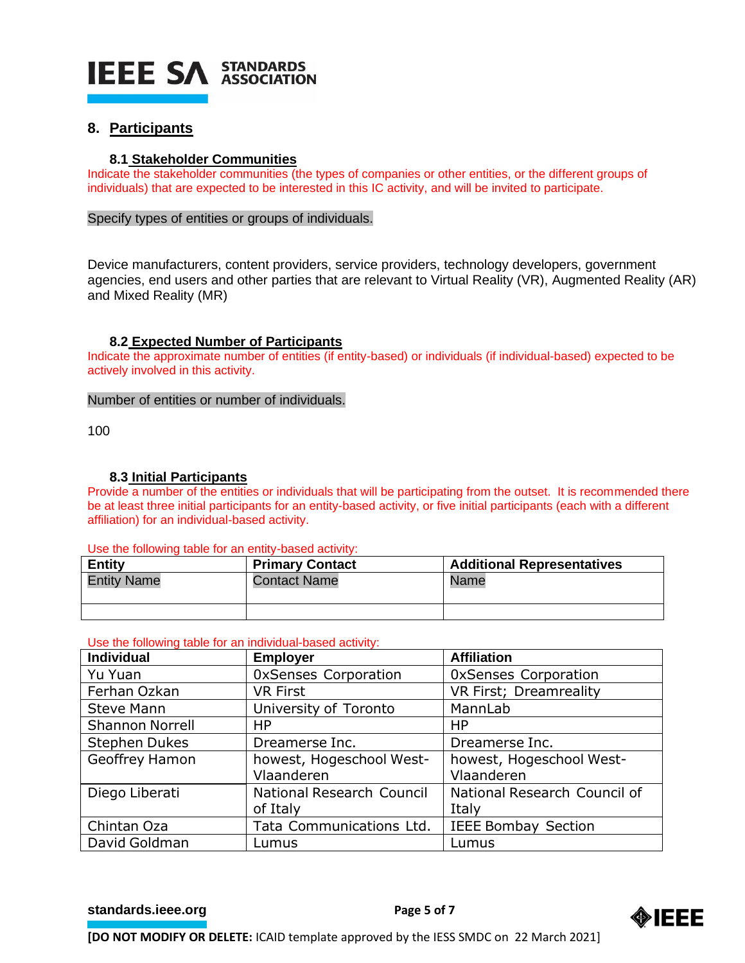

# **8. Participants**

# **8.1 Stakeholder Communities**

Indicate the stakeholder communities (the types of companies or other entities, or the different groups of individuals) that are expected to be interested in this IC activity, and will be invited to participate.

Specify types of entities or groups of individuals.

Device manufacturers, content providers, service providers, technology developers, government agencies, end users and other parties that are relevant to Virtual Reality (VR), Augmented Reality (AR) and Mixed Reality (MR)

### **8.2 Expected Number of Participants**

Indicate the approximate number of entities (if entity-based) or individuals (if individual-based) expected to be actively involved in this activity.

### Number of entities or number of individuals.

100

# **8.3 Initial Participants**

Provide a number of the entities or individuals that will be participating from the outset. It is recommended there be at least three initial participants for an entity-based activity, or five initial participants (each with a different affiliation) for an individual-based activity.

### Use the following table for an entity-based activity:

| <b>Entity</b>      | <b>Primary Contact</b> | <b>Additional Representatives</b> |
|--------------------|------------------------|-----------------------------------|
| <b>Entity Name</b> | <b>Contact Name</b>    | Name                              |
|                    |                        |                                   |

### Use the following table for an individual-based activity:

| <b>Individual</b>      | <b>Employer</b>             | <b>Affiliation</b>           |
|------------------------|-----------------------------|------------------------------|
| Yu Yuan                | <b>OxSenses Corporation</b> | <b>OxSenses Corporation</b>  |
| Ferhan Ozkan           | <b>VR First</b>             | VR First; Dreamreality       |
| <b>Steve Mann</b>      | University of Toronto       | MannLab                      |
| <b>Shannon Norrell</b> | <b>HP</b>                   | HP                           |
| <b>Stephen Dukes</b>   | Dreamerse Inc.              | Dreamerse Inc.               |
| Geoffrey Hamon         | howest, Hogeschool West-    | howest, Hogeschool West-     |
|                        | Vlaanderen                  | Vlaanderen                   |
| Diego Liberati         | National Research Council   | National Research Council of |
|                        | of Italy                    | Italy                        |
| Chintan Oza            | Tata Communications Ltd.    | <b>IEEE Bombay Section</b>   |
| David Goldman          | Lumus                       | Lumus                        |

**[standards.ieee.org](http://standards.ieee.org/) EXECUTE: Page 5 of 7** 

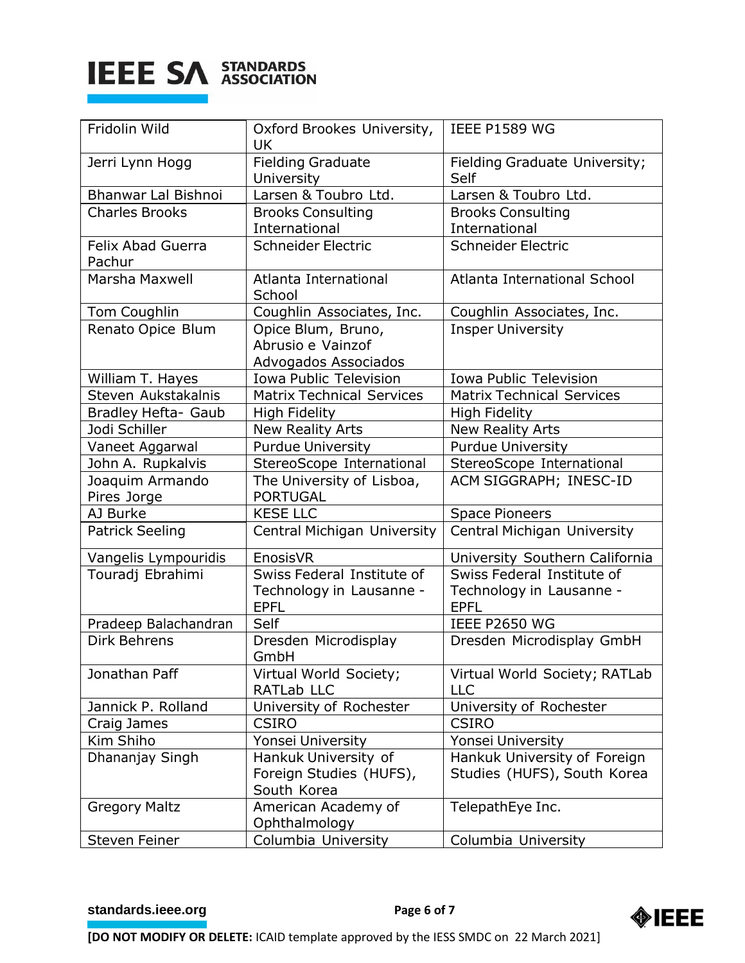

| Fridolin Wild                      | Oxford Brookes University,<br><b>UK</b>                | <b>IEEE P1589 WG</b>                                   |
|------------------------------------|--------------------------------------------------------|--------------------------------------------------------|
| Jerri Lynn Hogg                    | <b>Fielding Graduate</b>                               | Fielding Graduate University;                          |
|                                    | University                                             | Self                                                   |
| <b>Bhanwar Lal Bishnoi</b>         | Larsen & Toubro Ltd.                                   | Larsen & Toubro Ltd.                                   |
| <b>Charles Brooks</b>              | <b>Brooks Consulting</b>                               | <b>Brooks Consulting</b>                               |
|                                    | International                                          | International                                          |
| <b>Felix Abad Guerra</b><br>Pachur | Schneider Electric                                     | <b>Schneider Electric</b>                              |
| Marsha Maxwell                     | Atlanta International<br>School                        | Atlanta International School                           |
| Tom Coughlin                       | Coughlin Associates, Inc.                              | Coughlin Associates, Inc.                              |
| Renato Opice Blum                  | Opice Blum, Bruno,                                     | <b>Insper University</b>                               |
|                                    | Abrusio e Vainzof                                      |                                                        |
|                                    | Advogados Associados                                   |                                                        |
| William T. Hayes                   | <b>Iowa Public Television</b>                          | Iowa Public Television                                 |
| Steven Aukstakalnis                | <b>Matrix Technical Services</b>                       | <b>Matrix Technical Services</b>                       |
| Bradley Hefta- Gaub                | <b>High Fidelity</b>                                   | <b>High Fidelity</b>                                   |
| Jodi Schiller                      | <b>New Reality Arts</b>                                | <b>New Reality Arts</b>                                |
| Vaneet Aggarwal                    | <b>Purdue University</b>                               | <b>Purdue University</b>                               |
| John A. Rupkalvis                  | StereoScope International                              | StereoScope International                              |
| Joaquim Armando                    | The University of Lisboa,                              | ACM SIGGRAPH; INESC-ID                                 |
| Pires Jorge                        | <b>PORTUGAL</b>                                        |                                                        |
| AJ Burke                           | <b>KESE LLC</b>                                        | <b>Space Pioneers</b>                                  |
| <b>Patrick Seeling</b>             | Central Michigan University                            | Central Michigan University                            |
| Vangelis Lympouridis               | EnosisVR                                               | University Southern California                         |
| Touradj Ebrahimi                   | Swiss Federal Institute of<br>Technology in Lausanne - | Swiss Federal Institute of<br>Technology in Lausanne - |
|                                    | <b>EPFL</b>                                            | <b>EPFL</b>                                            |
| Pradeep Balachandran               | Self                                                   | <b>IEEE P2650 WG</b>                                   |
| <b>Dirk Behrens</b>                | Dresden Microdisplay<br>GmbH                           | Dresden Microdisplay GmbH                              |
| Jonathan Paff                      | Virtual World Society;<br>RATLab LLC                   | Virtual World Society; RATLab<br>LLC                   |
| Jannick P. Rolland                 | University of Rochester                                | University of Rochester                                |
| Craig James                        | <b>CSIRO</b>                                           | <b>CSIRO</b>                                           |
| Kim Shiho                          | Yonsei University                                      | Yonsei University                                      |
| Dhananjay Singh                    | Hankuk University of                                   | Hankuk University of Foreign                           |
|                                    | Foreign Studies (HUFS),<br>South Korea                 | Studies (HUFS), South Korea                            |
| <b>Gregory Maltz</b>               | American Academy of<br>Ophthalmology                   | TelepathEye Inc.                                       |
| <b>Steven Feiner</b>               | Columbia University                                    | Columbia University                                    |

**[standards.ieee.org](http://standards.ieee.org/)**<br> **Page 6 of 7**